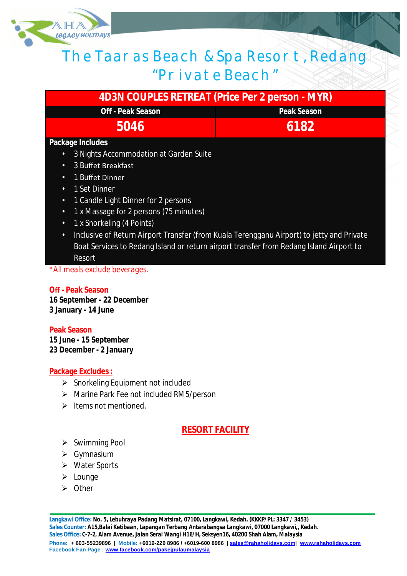

# The Taaras Beach & Spa Resort, Redang "Private Beach"

| <b>4D3N COUPLES RETREAT (Price Per 2 person - MYR)</b>                                                 |                    |
|--------------------------------------------------------------------------------------------------------|--------------------|
| <b>Off - Peak Season</b>                                                                               | <b>Peak Season</b> |
| 5046                                                                                                   | 6182               |
| Package Includes                                                                                       |                    |
| 3 Nights Accommodation at Garden Suite<br>$\bullet$                                                    |                    |
| 3 Buffet Breakfast<br>$\bullet$                                                                        |                    |
| 1 Buffet Dinner<br>$\bullet$                                                                           |                    |
| 1 Set Dinner<br>$\bullet$                                                                              |                    |
| 1 Candle Light Dinner for 2 persons<br>$\bullet$                                                       |                    |
| 1 x Massage for 2 persons (75 minutes)<br>$\bullet$                                                    |                    |
| 1 x Snorkeling (4 Points)<br>$\bullet$                                                                 |                    |
| Inclusive of Return Airport Transfer (from Kuala Terengganu Airport) to jetty and Private<br>$\bullet$ |                    |
| Boat Services to Redang Island or return airport transfer from Redang Island Airport to                |                    |
| Resort                                                                                                 |                    |

*\*All meals exclude beverages.*

#### **Off - Peak Season**

**16 September - 22 December 3 January - 14 June**

**Peak Season 15 June - 15 September 23 December - 2 January**

#### **Package Excludes :**

- $\triangleright$  Snorkeling Equipment not included
- Marine Park Fee not included RM5/person
- $\blacktriangleright$  Items not mentioned.

## **RESORT FACILITY**

- $\triangleright$  Swimming Pool
- $\triangleright$  Gymnasium
- Water Sports
- $\blacktriangleright$  Lounge
- $\triangleright$  Other